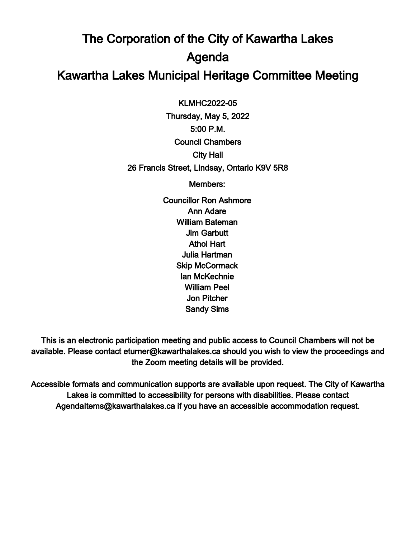## The Corporation of the City of Kawartha Lakes Agenda Kawartha Lakes Municipal Heritage Committee Meeting

 $\overline{a}$ KLMHC2022-05

Thursday, May 5, 2022 5:00 P.M. Council Chambers City Hall 26 Francis Street, Lindsay, Ontario K9V 5R8

Members:

Councillor Ron Ashmore Ann Adare William Bateman Jim Garbutt Athol Hart Julia Hartman Skip McCormack Ian McKechnie William Peel Jon Pitcher Sandy Sims

This is an electronic participation meeting and public access to Council Chambers will not be available. Please contact eturner@kawarthalakes.ca should you wish to view the proceedings and the Zoom meeting details will be provided.

Accessible formats and communication supports are available upon request. The City of Kawartha Lakes is committed to accessibility for persons with disabilities. Please contact AgendaItems@kawarthalakes.ca if you have an accessible accommodation request.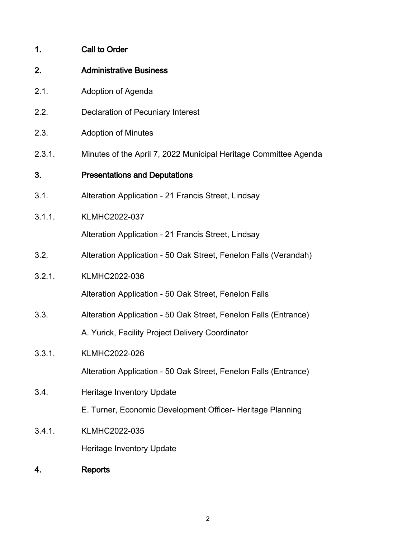| 1.     | <b>Call to Order</b>                                             |
|--------|------------------------------------------------------------------|
| 2.     | <b>Administrative Business</b>                                   |
| 2.1.   | Adoption of Agenda                                               |
| 2.2.   | <b>Declaration of Pecuniary Interest</b>                         |
| 2.3.   | <b>Adoption of Minutes</b>                                       |
| 2.3.1. | Minutes of the April 7, 2022 Municipal Heritage Committee Agenda |
| 3.     | <b>Presentations and Deputations</b>                             |
| 3.1.   | Alteration Application - 21 Francis Street, Lindsay              |
| 3.1.1. | <b>KLMHC2022-037</b>                                             |
|        | Alteration Application - 21 Francis Street, Lindsay              |
| 3.2.   | Alteration Application - 50 Oak Street, Fenelon Falls (Verandah) |
| 3.2.1. | KLMHC2022-036                                                    |
|        | Alteration Application - 50 Oak Street, Fenelon Falls            |
| 3.3.   | Alteration Application - 50 Oak Street, Fenelon Falls (Entrance) |
|        | A. Yurick, Facility Project Delivery Coordinator                 |
| 3.3.1. | <b>KLMHC2022-026</b>                                             |
|        | Alteration Application - 50 Oak Street, Fenelon Falls (Entrance) |
| 3.4.   | <b>Heritage Inventory Update</b>                                 |
|        | E. Turner, Economic Development Officer- Heritage Planning       |
| 3.4.1. | <b>KLMHC2022-035</b>                                             |
|        | <b>Heritage Inventory Update</b>                                 |
| 4.     | <b>Reports</b>                                                   |